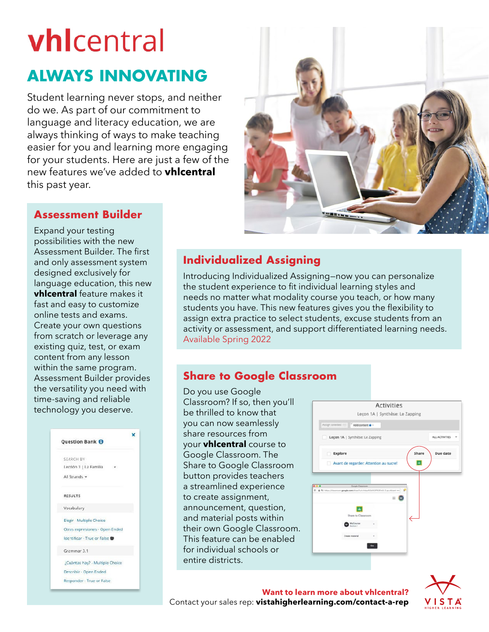# **vhl**central

## **ALWAYS INNOVATING**

Student learning never stops, and neither do we. As part of our commitment to language and literacy education, we are always thinking of ways to make teaching easier for you and learning more engaging for your students. Here are just a few of the new features we've added to **vhlcentral** this past year.



## **Assessment Builder**

Expand your testing possibilities with the new Assessment Builder. The first and only assessment system designed exclusively for language education, this new **vhlcentral** feature makes it fast and easy to customize online tests and exams. Create your own questions from scratch or leverage any existing quiz, test, or exam content from any lesson within the same program. Assessment Builder provides the versatility you need with time-saving and reliable technology you deserve.



## **Individualized Assigning**

Introducing Individualized Assigning—now you can personalize the student experience to fit individual learning styles and needs no matter what modality course you teach, or how many students you have. This new features gives you the flexibility to assign extra practice to select students, excuse students from an activity or assessment, and support differentiated learning needs. Available Spring 2022

## **Share to Google Classroom**

Do you use Google Classroom? If so, then you'll be thrilled to know that you can now seamlessly share resources from your **vhlcentral** course to Google Classroom. The Share to Google Classroom button provides teachers a streamlined experience to create assignment, announcement, question, and material posts within their own Google Classroom. This feature can be enabled for individual schools or entire districts.

|                                                                                      |                |                 |                         |                                        | <b>Activities</b> |  |       |                |
|--------------------------------------------------------------------------------------|----------------|-----------------|-------------------------|----------------------------------------|-------------------|--|-------|----------------|
|                                                                                      |                |                 |                         | Leçon 1A   Synthèse: Le Zapping        |                   |  |       |                |
| Assign selected <b>Add content</b> $\bullet$ -                                       |                |                 |                         |                                        |                   |  |       |                |
|                                                                                      |                |                 |                         | Leçon 1A   Synthèse: Le Zapping        |                   |  |       | ALL ACTIVITIES |
|                                                                                      | <b>Explore</b> |                 |                         |                                        |                   |  | Share | Due date       |
|                                                                                      |                |                 |                         |                                        |                   |  |       |                |
| n                                                                                    |                |                 |                         | Avant de regarder: Attention au sucre! |                   |  | ᅬ     |                |
|                                                                                      |                |                 |                         |                                        |                   |  |       |                |
|                                                                                      |                |                 |                         |                                        |                   |  |       |                |
| D A 11 Https://dasaroon.google.com/id-anchuri-https://2012/PK2Fec3-2.go.uhloant == 2 |                |                 | <b>Google Classroom</b> |                                        |                   |  |       |                |
|                                                                                      |                |                 |                         |                                        | ᄑ                 |  |       |                |
|                                                                                      |                |                 |                         |                                        |                   |  |       |                |
|                                                                                      |                |                 | Share to Classroom      |                                        |                   |  |       |                |
|                                                                                      |                | <b>MyCourse</b> | in 1                    |                                        |                   |  |       |                |
|                                                                                      |                | Create material |                         |                                        |                   |  |       |                |